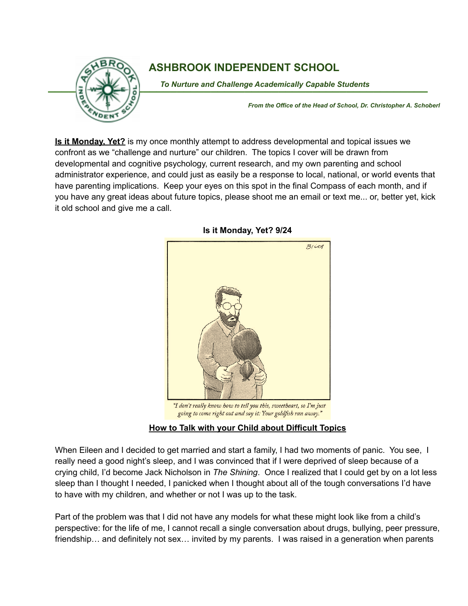

## **ASHBROOK INDEPENDENT SCHOOL**

To Nurture and Challenge Academically Capable Students

*From the Office of the Head of School, Dr. Christopher A. Schoberl*

**Is it Monday, Yet?** is my once monthly attempt to address developmental and topical issues we confront as we "challenge and nurture" our children. The topics I cover will be drawn from developmental and cognitive psychology, current research, and my own parenting and school administrator experience, and could just as easily be a response to local, national, or world events that have parenting implications. Keep your eyes on this spot in the final Compass of each month, and if you have any great ideas about future topics, please shoot me an email or text me... or, better yet, kick it old school and give me a call.

## **Is it Monday, Yet? 9/24**



going to come right out and say it: Your goldfish ran away."

## **How to Talk with your Child about Difficult Topics**

When Eileen and I decided to get married and start a family, I had two moments of panic. You see, I really need a good night's sleep, and I was convinced that if I were deprived of sleep because of a crying child, I'd become Jack Nicholson in *The Shining*. Once I realized that I could get by on a lot less sleep than I thought I needed, I panicked when I thought about all of the tough conversations I'd have to have with my children, and whether or not I was up to the task.

Part of the problem was that I did not have any models for what these might look like from a child's perspective: for the life of me, I cannot recall a single conversation about drugs, bullying, peer pressure, friendship… and definitely not sex… invited by my parents. I was raised in a generation when parents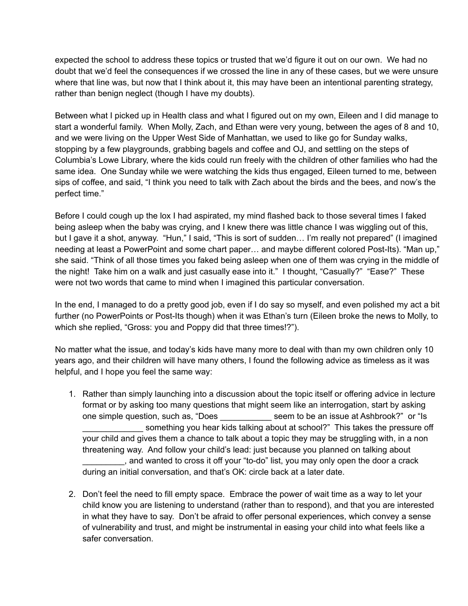expected the school to address these topics or trusted that we'd figure it out on our own. We had no doubt that we'd feel the consequences if we crossed the line in any of these cases, but we were unsure where that line was, but now that I think about it, this may have been an intentional parenting strategy, rather than benign neglect (though I have my doubts).

Between what I picked up in Health class and what I figured out on my own, Eileen and I did manage to start a wonderful family. When Molly, Zach, and Ethan were very young, between the ages of 8 and 10, and we were living on the Upper West Side of Manhattan, we used to like go for Sunday walks, stopping by a few playgrounds, grabbing bagels and coffee and OJ, and settling on the steps of Columbia's Lowe Library, where the kids could run freely with the children of other families who had the same idea. One Sunday while we were watching the kids thus engaged, Eileen turned to me, between sips of coffee, and said, "I think you need to talk with Zach about the birds and the bees, and now's the perfect time."

Before I could cough up the lox I had aspirated, my mind flashed back to those several times I faked being asleep when the baby was crying, and I knew there was little chance I was wiggling out of this, but I gave it a shot, anyway. "Hun," I said, "This is sort of sudden… I'm really not prepared" (I imagined needing at least a PowerPoint and some chart paper… and maybe different colored Post-Its). "Man up," she said. "Think of all those times you faked being asleep when one of them was crying in the middle of the night! Take him on a walk and just casually ease into it." I thought, "Casually?" "Ease?" These were not two words that came to mind when I imagined this particular conversation.

In the end, I managed to do a pretty good job, even if I do say so myself, and even polished my act a bit further (no PowerPoints or Post-Its though) when it was Ethan's turn (Eileen broke the news to Molly, to which she replied, "Gross: you and Poppy did that three times!?").

No matter what the issue, and today's kids have many more to deal with than my own children only 10 years ago, and their children will have many others, I found the following advice as timeless as it was helpful, and I hope you feel the same way:

- 1. Rather than simply launching into a discussion about the topic itself or offering advice in lecture format or by asking too many questions that might seem like an interrogation, start by asking one simple question, such as, "Does seem to be an issue at Ashbrook?" or "Is something you hear kids talking about at school?" This takes the pressure off your child and gives them a chance to talk about a topic they may be struggling with, in a non threatening way. And follow your child's lead: just because you planned on talking about \_\_\_\_\_\_\_\_\_, and wanted to cross it off your "to-do" list, you may only open the door a crack during an initial conversation, and that's OK: circle back at a later date.
- 2. Don't feel the need to fill empty space. Embrace the power of wait time as a way to let your child know you are listening to understand (rather than to respond), and that you are interested in what they have to say. Don't be afraid to offer personal experiences, which convey a sense of vulnerability and trust, and might be instrumental in easing your child into what feels like a safer conversation.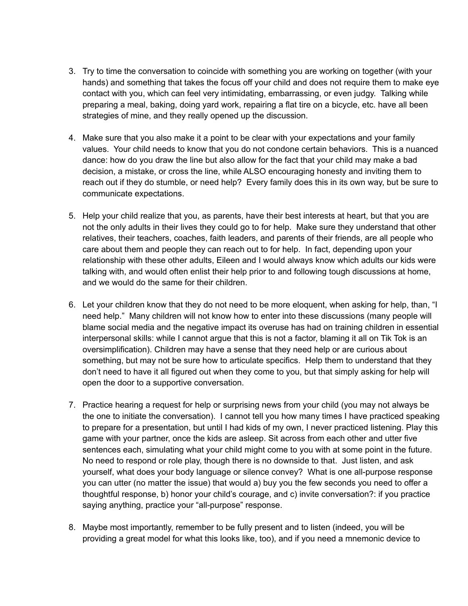- 3. Try to time the conversation to coincide with something you are working on together (with your hands) and something that takes the focus off your child and does not require them to make eye contact with you, which can feel very intimidating, embarrassing, or even judgy. Talking while preparing a meal, baking, doing yard work, repairing a flat tire on a bicycle, etc. have all been strategies of mine, and they really opened up the discussion.
- 4. Make sure that you also make it a point to be clear with your expectations and your family values. Your child needs to know that you do not condone certain behaviors. This is a nuanced dance: how do you draw the line but also allow for the fact that your child may make a bad decision, a mistake, or cross the line, while ALSO encouraging honesty and inviting them to reach out if they do stumble, or need help? Every family does this in its own way, but be sure to communicate expectations.
- 5. Help your child realize that you, as parents, have their best interests at heart, but that you are not the only adults in their lives they could go to for help. Make sure they understand that other relatives, their teachers, coaches, faith leaders, and parents of their friends, are all people who care about them and people they can reach out to for help. In fact, depending upon your relationship with these other adults, Eileen and I would always know which adults our kids were talking with, and would often enlist their help prior to and following tough discussions at home, and we would do the same for their children.
- 6. Let your children know that they do not need to be more eloquent, when asking for help, than, "I need help." Many children will not know how to enter into these discussions (many people will blame social media and the negative impact its overuse has had on training children in essential interpersonal skills: while I cannot argue that this is not a factor, blaming it all on Tik Tok is an oversimplification). Children may have a sense that they need help or are curious about something, but may not be sure how to articulate specifics. Help them to understand that they don't need to have it all figured out when they come to you, but that simply asking for help will open the door to a supportive conversation.
- 7. Practice hearing a request for help or surprising news from your child (you may not always be the one to initiate the conversation). I cannot tell you how many times I have practiced speaking to prepare for a presentation, but until I had kids of my own, I never practiced listening. Play this game with your partner, once the kids are asleep. Sit across from each other and utter five sentences each, simulating what your child might come to you with at some point in the future. No need to respond or role play, though there is no downside to that. Just listen, and ask yourself, what does your body language or silence convey? What is one all-purpose response you can utter (no matter the issue) that would a) buy you the few seconds you need to offer a thoughtful response, b) honor your child's courage, and c) invite conversation?: if you practice saying anything, practice your "all-purpose" response.
- 8. Maybe most importantly, remember to be fully present and to listen (indeed, you will be providing a great model for what this looks like, too), and if you need a mnemonic device to